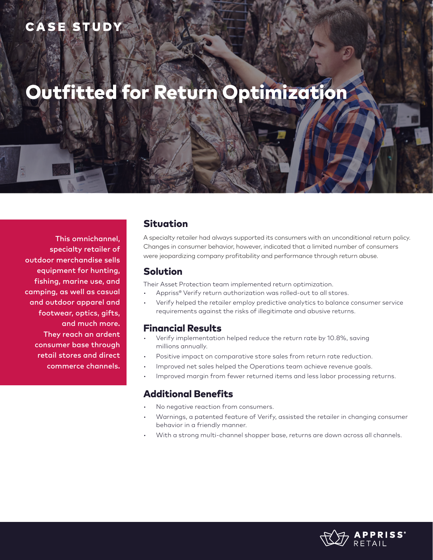# CASE STUDY

# Outfitted for Return Optimization

This omnichannel, specialty retailer of outdoor merchandise sells equipment for hunting, fishing, marine use, and camping, as well as casual and outdoor apparel and footwear, optics, gifts, and much more. They reach an ardent consumer base through retail stores and direct commerce channels.

#### Situation

A specialty retailer had always supported its consumers with an unconditional return policy. Changes in consumer behavior, however, indicated that a limited number of consumers were jeopardizing company profitability and performance through return abuse.

#### Solution

Their Asset Protection team implemented return optimization.

- Appriss<sup>®</sup> Verify return authorization was rolled-out to all stores.
- Verify helped the retailer employ predictive analytics to balance consumer service requirements against the risks of illegitimate and abusive returns.

#### Financial Results

- Verify implementation helped reduce the return rate by 10.8%, saving millions annually.
- Positive impact on comparative store sales from return rate reduction.
- Improved net sales helped the Operations team achieve revenue goals.
- Improved margin from fewer returned items and less labor processing returns.

### Additional Benefits

- No negative reaction from consumers.
- Warnings, a patented feature of Verify, assisted the retailer in changing consumer behavior in a friendly manner.
- With a strong multi-channel shopper base, returns are down across all channels.